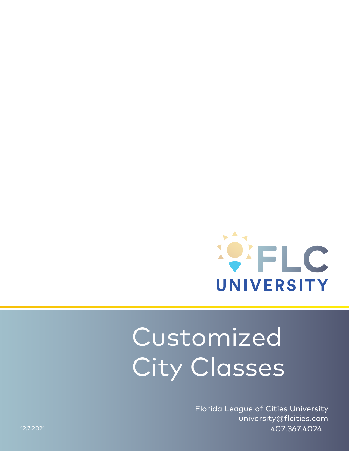

# Customized City Classes

Florida League of Cities University university@flcities.com 407.367.4024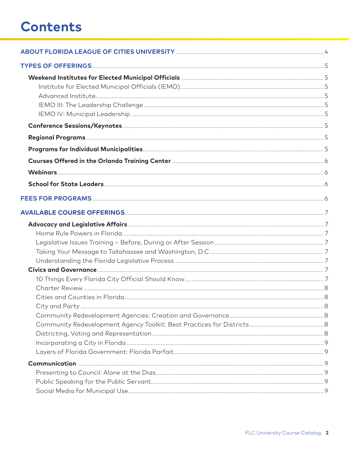# **Contents**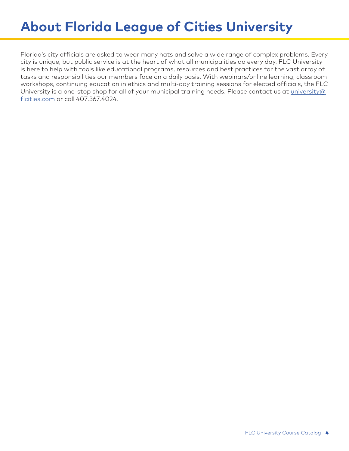# **About Florida League of Cities University**

Florida's city officials are asked to wear many hats and solve a wide range of complex problems. Every city is unique, but public service is at the heart of what all municipalities do every day. FLC University is here to help with tools like educational programs, resources and best practices for the vast array of tasks and responsibilities our members face on a daily basis. With webinars/online learning, classroom workshops, continuing education in ethics and multi-day training sessions for elected officials, the FLC University is a one-stop shop for all of your municipal training needs. Please contact us at [university@](mailto:university@flcities.com) [flcities.com or](mailto:university@flcities.com) call 407.367.4024.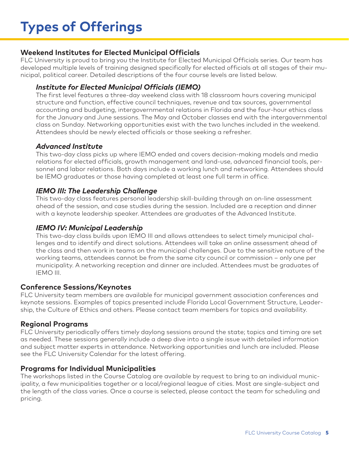#### **Weekend Institutes for Elected Municipal Officials**

FLC University is proud to bring you the Institute for Elected Municipal Officials series. Our team has developed multiple levels of training designed specifically for elected officials at all stages of their municipal, political career. Detailed descriptions of the four course levels are listed below.

#### *Institute for Elected Municipal Officials (IEMO)*

The first level features a three-day weekend class with 18 classroom hours covering municipal structure and function, effective council techniques, revenue and tax sources, governmental accounting and budgeting, intergovernmental relations in Florida and the four-hour ethics class for the January and June sessions. The May and October classes end with the intergovernmental class on Sunday. Networking opportunities exist with the two lunches included in the weekend. Attendees should be newly elected officials or those seeking a refresher.

#### *Advanced Institute*

This two-day class picks up where IEMO ended and covers decision-making models and media relations for elected officials, growth management and land-use, advanced financial tools, personnel and labor relations. Both days include a working lunch and networking. Attendees should be IEMO graduates or those having completed at least one full term in office.

#### *IEMO III: The Leadership Challenge*

This two-day class features personal leadership skill-building through an on-line assessment ahead of the session, and case studies during the session. Included are a reception and dinner with a keynote leadership speaker. Attendees are graduates of the Advanced Institute.

#### *IEMO IV: Municipal Leadership*

This two-day class builds upon IEMO III and allows attendees to select timely municipal challenges and to identify and direct solutions. Attendees will take an online assessment ahead of the class and then work in teams on the municipal challenges. Due to the sensitive nature of the working teams, attendees cannot be from the same city council or commission – only one per municipality. A networking reception and dinner are included. Attendees must be graduates of IEMO III.

#### **Conference Sessions/Keynotes**

FLC University team members are available for municipal government association conferences and keynote sessions. Examples of topics presented include Florida Local Government Structure, Leadership, the Culture of Ethics and others. Please contact team members for topics and availability.

#### **Regional Programs**

FLC University periodically offers timely daylong sessions around the state; topics and timing are set as needed. These sessions generally include a deep dive into a single issue with detailed information and subject matter experts in attendance. Networking opportunities and lunch are included. Please see the FLC University Calendar for the latest offering.

#### **Programs for Individual Municipalities**

The workshops listed in the Course Catalog are available by request to bring to an individual municipality, a few municipalities together or a local/regional league of cities. Most are single-subject and the length of the class varies. Once a course is selected, please contact the team for scheduling and pricing.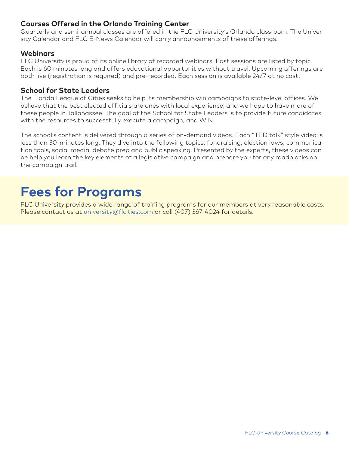#### **Courses Offered in the Orlando Training Center**

Quarterly and semi-annual classes are offered in the FLC University's Orlando classroom. The University Calendar and FLC E-News Calendar will carry announcements of these offerings.

#### **Webinars**

FLC University is proud of its online library of recorded webinars. Past sessions are listed by topic. Each is 60 minutes long and offers educational opportunities without travel. Upcoming offerings are both live (registration is required) and pre-recorded. Each session is available 24/7 at no cost.

#### **School for State Leaders**

The Florida League of Cities seeks to help its membership win campaigns to state-level offices. We believe that the best elected officials are ones with local experience, and we hope to have more of these people in Tallahassee. The goal of the School for State Leaders is to provide future candidates with the resources to successfully execute a campaign, and WIN.

The school's content is delivered through a series of on-demand videos. Each "TED talk" style video is less than 30-minutes long. They dive into the following topics: fundraising, election laws, communication tools, social media, debate prep and public speaking. Presented by the experts, these videos can be help you learn the key elements of a legislative campaign and prepare you for any roadblocks on the campaign trail.

# **Fees for Programs**

FLC University provides a wide range of training programs for our members at very reasonable costs. Please contact us at [university@flcities.com or](mailto:university@flcities.com) call (407) 367-4024 for details.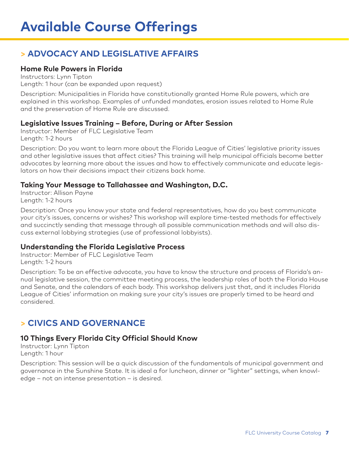# **> ADVOCACY AND LEGISLATIVE AFFAIRS**

#### **Home Rule Powers in Florida**

Instructors: Lynn Tipton Length: 1 hour (can be expanded upon request)

Description: Municipalities in Florida have constitutionally granted Home Rule powers, which are explained in this workshop. Examples of unfunded mandates, erosion issues related to Home Rule and the preservation of Home Rule are discussed.

#### **Legislative Issues Training – Before, During or After Session**

Instructor: Member of FLC Legislative Team Length: 1-2 hours

Description: Do you want to learn more about the Florida League of Cities' legislative priority issues and other legislative issues that affect cities? This training will help municipal officials become better advocates by learning more about the issues and how to effectively communicate and educate legislators on how their decisions impact their citizens back home.

#### **Taking Your Message to Tallahassee and Washington, D.C.**

Instructor: Allison Payne Length: 1-2 hours

Description: Once you know your state and federal representatives, how do you best communicate your city's issues, concerns or wishes? This workshop will explore time-tested methods for effectively and succinctly sending that message through all possible communication methods and will also discuss external lobbying strategies (use of professional lobbyists).

#### **Understanding the Florida Legislative Process**

Instructor: Member of FLC Legislative Team Length: 1-2 hours

Description: To be an effective advocate, you have to know the structure and process of Florida's annual legislative session, the committee meeting process, the leadership roles of both the Florida House and Senate, and the calendars of each body. This workshop delivers just that, and it includes Florida League of Cities' information on making sure your city's issues are properly timed to be heard and considered.

### **> CIVICS AND GOVERNANCE**

#### **10 Things Every Florida City Official Should Know**

Instructor: Lynn Tipton Length: 1 hour

Description: This session will be a quick discussion of the fundamentals of municipal government and governance in the Sunshine State. It is ideal a for luncheon, dinner or "lighter" settings, when knowledge – not an intense presentation – is desired.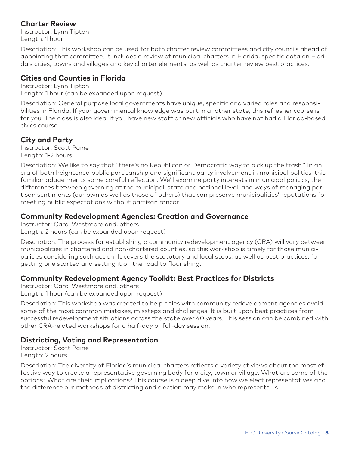#### **Charter Review**

Instructor: Lynn Tipton Length: 1 hour

Description: This workshop can be used for both charter review committees and city councils ahead of appointing that committee. It includes a review of municipal charters in Florida, specific data on Florida's cities, towns and villages and key charter elements, as well as charter review best practices.

#### **Cities and Counties in Florida**

Instructor: Lynn Tipton Length: 1 hour (can be expanded upon request)

Description: General purpose local governments have unique, specific and varied roles and responsibilities in Florida. If your governmental knowledge was built in another state, this refresher course is for you. The class is also ideal if you have new staff or new officials who have not had a Florida-based civics course.

#### **City and Party**

Instructor: Scott Paine Length: 1-2 hours

Description: We like to say that "there's no Republican or Democratic way to pick up the trash." In an era of both heightened public partisanship and significant party involvement in municipal politics, this familiar adage merits some careful reflection. We'll examine party interests in municipal politics, the differences between governing at the municipal, state and national level, and ways of managing partisan sentiments (our own as well as those of others) that can preserve municipalities' reputations for meeting public expectations without partisan rancor.

#### **Community Redevelopment Agencies: Creation and Governance**

Instructor: Carol Westmoreland, others

Length: 2 hours (can be expanded upon request)

Description: The process for establishing a community redevelopment agency (CRA) will vary between municipalities in chartered and non-chartered counties, so this workshop is timely for those municipalities considering such action. It covers the statutory and local steps, as well as best practices, for getting one started and setting it on the road to flourishing.

#### **Community Redevelopment Agency Toolkit: Best Practices for Districts**

Instructor: Carol Westmoreland, others Length: 1 hour (can be expanded upon request)

Description: This workshop was created to help cities with community redevelopment agencies avoid some of the most common mistakes, missteps and challenges. It is built upon best practices from successful redevelopment situations across the state over 40 years. This session can be combined with other CRA-related workshops for a half-day or full-day session.

#### **Districting, Voting and Representation**

Instructor: Scott Paine Length: 2 hours

Description: The diversity of Florida's municipal charters reflects a variety of views about the most effective way to create a representative governing body for a city, town or village. What are some of the options? What are their implications? This course is a deep dive into how we elect representatives and the difference our methods of districting and election may make in who represents us.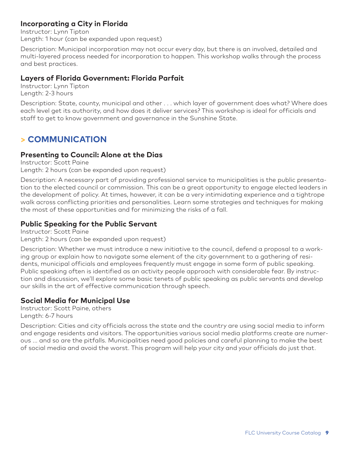#### **Incorporating a City in Florida**

Instructor: Lynn Tipton Length: 1 hour (can be expanded upon request)

Description: Municipal incorporation may not occur every day, but there is an involved, detailed and multi-layered process needed for incorporation to happen. This workshop walks through the process and best practices.

#### **Layers of Florida Government: Florida Parfait**

Instructor: Lynn Tipton Length: 2-3 hours

Description: State, county, municipal and other . . . which layer of government does what? Where does each level get its authority, and how does it deliver services? This workshop is ideal for officials and staff to get to know government and governance in the Sunshine State.

### **> COMMUNICATION**

#### **Presenting to Council: Alone at the Dias**

Instructor: Scott Paine Length: 2 hours (can be expanded upon request)

Description: A necessary part of providing professional service to municipalities is the public presentation to the elected council or commission. This can be a great opportunity to engage elected leaders in the development of policy. At times, however, it can be a very intimidating experience and a tightrope walk across conflicting priorities and personalities. Learn some strategies and techniques for making the most of these opportunities and for minimizing the risks of a fall.

#### **Public Speaking for the Public Servant**

Instructor: Scott Paine Length: 2 hours (can be expanded upon request)

Description: Whether we must introduce a new initiative to the council, defend a proposal to a working group or explain how to navigate some element of the city government to a gathering of residents, municipal officials and employees frequently must engage in some form of public speaking. Public speaking often is identified as an activity people approach with considerable fear. By instruction and discussion, we'll explore some basic tenets of public speaking as public servants and develop our skills in the art of effective communication through speech.

#### **Social Media for Municipal Use**

Instructor: Scott Paine, others Length: 6-7 hours

Description: Cities and city officials across the state and the country are using social media to inform and engage residents and visitors. The opportunities various social media platforms create are numerous ... and so are the pitfalls. Municipalities need good policies and careful planning to make the best of social media and avoid the worst. This program will help your city and your officials do just that.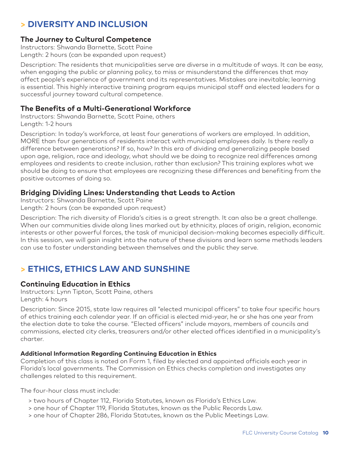# **> DIVERSITY AND INCLUSION**

#### **The Journey to Cultural Competence**

Instructors: Shwanda Barnette, Scott Paine Length: 2 hours (can be expanded upon request)

Description: The residents that municipalities serve are diverse in a multitude of ways. It can be easy, when engaging the public or planning policy, to miss or misunderstand the differences that may affect people's experience of government and its representatives. Mistakes are inevitable; learning is essential. This highly interactive training program equips municipal staff and elected leaders for a successful journey toward cultural competence.

#### **The Benefits of a Multi-Generational Workforce**

Instructors: Shwanda Barnette, Scott Paine, others Length: 1-2 hours

Description: In today's workforce, at least four generations of workers are employed. In addition, MORE than four generations of residents interact with municipal employees daily. Is there really a difference between generations? If so, how? In this era of dividing and generalizing people based upon age, religion, race and ideology, what should we be doing to recognize real differences among employees and residents to create inclusion, rather than exclusion? This training explores what we should be doing to ensure that employees are recognizing these differences and benefiting from the positive outcomes of doing so.

#### **Bridging Dividing Lines: Understanding that Leads to Action**

Instructors: Shwanda Barnette, Scott Paine Length: 2 hours (can be expanded upon request)

Description: The rich diversity of Florida's cities is a great strength. It can also be a great challenge. When our communities divide along lines marked out by ethnicity, places of origin, religion, economic interests or other powerful forces, the task of municipal decision-making becomes especially difficult. In this session, we will gain insight into the nature of these divisions and learn some methods leaders can use to foster understanding between themselves and the public they serve.

### **> ETHICS, ETHICS LAW AND SUNSHINE**

#### **Continuing Education in Ethics**

Instructors: Lynn Tipton, Scott Paine, others Length: 4 hours

Description: Since 2015, state law requires all "elected municipal officers" to take four specific hours of ethics training each calendar year. If an official is elected mid-year, he or she has one year from the election date to take the course. "Elected officers" include mayors, members of councils and commissions, elected city clerks, treasurers and/or other elected offices identified in a municipality's charter.

#### **Additional Information Regarding Continuing Education in Ethics**

Completion of this class is noted on Form 1, filed by elected and appointed officials each year in Florida's local governments. The Commission on Ethics checks completion and investigates any challenges related to this requirement.

The four-hour class must include:

- > two hours of Chapter 112, Florida Statutes, known as Florida's Ethics Law.
- > one hour of Chapter 119, Florida Statutes, known as the Public Records Law.
- > one hour of Chapter 286, Florida Statutes, known as the Public Meetings Law.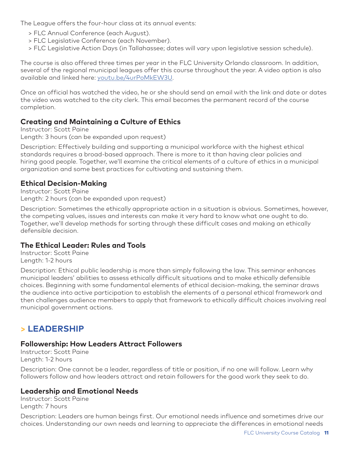The League offers the four-hour class at its annual events:

- > FLC Annual Conference (each August).
- > FLC Legislative Conference (each November).
- > FLC Legislative Action Days (in Tallahassee; dates will vary upon legislative session schedule).

The course is also offered three times per year in the FLC University Orlando classroom. In addition, several of the regional municipal leagues offer this course throughout the year. A video option is also available and linked here:<youtu.be/4urPoMkEW3U>.

Once an official has watched the video, he or she should send an email with the link and date or dates the video was watched to the city clerk. This email becomes the permanent record of the course completion.

#### **Creating and Maintaining a Culture of Ethics**

Instructor: Scott Paine Length: 3 hours (can be expanded upon request)

Description: Effectively building and supporting a municipal workforce with the highest ethical standards requires a broad-based approach. There is more to it than having clear policies and hiring good people. Together, we'll examine the critical elements of a culture of ethics in a municipal organization and some best practices for cultivating and sustaining them.

#### **Ethical Decision-Making**

Instructor: Scott Paine Length: 2 hours (can be expanded upon request)

Description: Sometimes the ethically appropriate action in a situation is obvious. Sometimes, however, the competing values, issues and interests can make it very hard to know what one ought to do. Together, we'll develop methods for sorting through these difficult cases and making an ethically defensible decision.

#### **The Ethical Leader: Rules and Tools**

Instructor: Scott Paine Length: 1-2 hours

Description: Ethical public leadership is more than simply following the law. This seminar enhances municipal leaders' abilities to assess ethically difficult situations and to make ethically defensible choices. Beginning with some fundamental elements of ethical decision-making, the seminar draws the audience into active participation to establish the elements of a personal ethical framework and then challenges audience members to apply that framework to ethically difficult choices involving real municipal government actions.

### **> LEADERSHIP**

#### **Followership: How Leaders Attract Followers**

Instructor: Scott Paine Length: 1-2 hours

Description: One cannot be a leader, regardless of title or position, if no one will follow. Learn why followers follow and how leaders attract and retain followers for the good work they seek to do.

#### **Leadership and Emotional Needs**

Instructor: Scott Paine Length: 7 hours

Description: Leaders are human beings first. Our emotional needs influence and sometimes drive our choices. Understanding our own needs and learning to appreciate the differences in emotional needs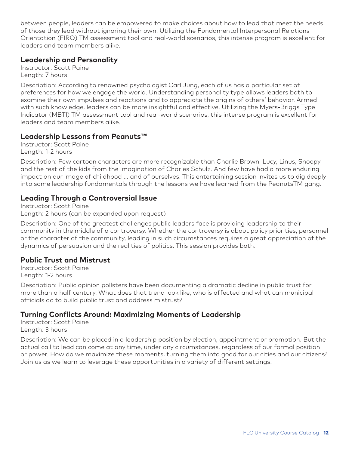between people, leaders can be empowered to make choices about how to lead that meet the needs of those they lead without ignoring their own. Utilizing the Fundamental Interpersonal Relations Orientation (FIRO) TM assessment tool and real-world scenarios, this intense program is excellent for leaders and team members alike.

#### **Leadership and Personality**

Instructor: Scott Paine Length: 7 hours

Description: According to renowned psychologist Carl Jung, each of us has a particular set of preferences for how we engage the world. Understanding personality type allows leaders both to examine their own impulses and reactions and to appreciate the origins of others' behavior. Armed with such knowledge, leaders can be more insightful and effective. Utilizing the Myers-Briggs Type Indicator (MBTI) TM assessment tool and real-world scenarios, this intense program is excellent for leaders and team members alike.

#### **Leadership Lessons from Peanuts™**

Instructor: Scott Paine Length: 1-2 hours

Description: Few cartoon characters are more recognizable than Charlie Brown, Lucy, Linus, Snoopy and the rest of the kids from the imagination of Charles Schulz. And few have had a more enduring impact on our image of childhood ... and of ourselves. This entertaining session invites us to dig deeply into some leadership fundamentals through the lessons we have learned from the PeanutsTM gang.

#### **Leading Through a Controversial Issue**

Instructor: Scott Paine Length: 2 hours (can be expanded upon request)

Description: One of the greatest challenges public leaders face is providing leadership to their community in the middle of a controversy. Whether the controversy is about policy priorities, personnel or the character of the community, leading in such circumstances requires a great appreciation of the dynamics of persuasion and the realities of politics. This session provides both.

#### **Public Trust and Mistrust**

Instructor: Scott Paine Length: 1-2 hours

Description: Public opinion pollsters have been documenting a dramatic decline in public trust for more than a half century. What does that trend look like, who is affected and what can municipal officials do to build public trust and address mistrust?

#### **Turning Conflicts Around: Maximizing Moments of Leadership**

Instructor: Scott Paine Length: 3 hours

Description: We can be placed in a leadership position by election, appointment or promotion. But the actual call to lead can come at any time, under any circumstances, regardless of our formal position or power. How do we maximize these moments, turning them into good for our cities and our citizens? Join us as we learn to leverage these opportunities in a variety of different settings.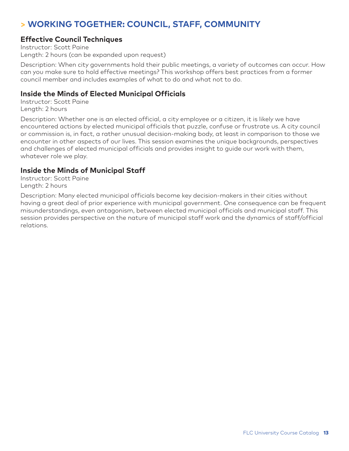## **> WORKING TOGETHER: COUNCIL, STAFF, COMMUNITY**

#### **Effective Council Techniques**

Instructor: Scott Paine Length: 2 hours (can be expanded upon request)

Description: When city governments hold their public meetings, a variety of outcomes can occur. How can you make sure to hold effective meetings? This workshop offers best practices from a former council member and includes examples of what to do and what not to do.

#### **Inside the Minds of Elected Municipal Officials**

Instructor: Scott Paine Length: 2 hours

Description: Whether one is an elected official, a city employee or a citizen, it is likely we have encountered actions by elected municipal officials that puzzle, confuse or frustrate us. A city council or commission is, in fact, a rather unusual decision-making body, at least in comparison to those we encounter in other aspects of our lives. This session examines the unique backgrounds, perspectives and challenges of elected municipal officials and provides insight to guide our work with them, whatever role we play.

#### **Inside the Minds of Municipal Staff**

Instructor: Scott Paine Length: 2 hours

Description: Many elected municipal officials become key decision-makers in their cities without having a great deal of prior experience with municipal government. One consequence can be frequent misunderstandings, even antagonism, between elected municipal officials and municipal staff. This session provides perspective on the nature of municipal staff work and the dynamics of staff/official relations.